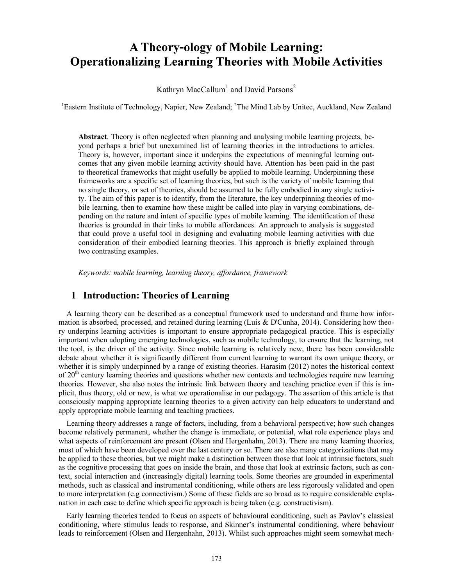# **A Theory-ology of Mobile Learning: Operationalizing Learning Theories with Mobile Activities**

Kathryn MacCallum $^{\rm l}$  and David Parsons $^{\rm 2}$ 

<sup>1</sup>Eastern Institute of Technology, Napier, New Zealand; <sup>2</sup>The Mind Lab by Unitec, Auckland, New Zealand

Abstract. Theory is often neglected when planning and analysing mobile learning projects, beyond perhaps a brief but unexamined list of learning theories in the introductions to articles. Theory is, however, important since it underpins the expectations of meaningful learning outcomes that any given mobile learning activity should have. Attention has been paid in the past to theoretical frameworks that might usefully be applied to mobile learning. Underpinning these frameworks are a specific set of learning theories, but such is the variety of mobile learning that no single theory, or set of theories, should be assumed to be fully embodied in any single activity. The aim of this paper is to identify, from the literature, the key underpinning theories of mobile learning, then to examine how these might be called into play in varying combinations, depending on the nature and intent of specific types of mobile learning. The identification of these theories is grounded in their links to mobile affordances. An approach to analysis is suggested that could prove a useful tool in designing and evaluating mobile learning activities with due consideration of their embodied learning theories. This approach is briefly explained through two contrasting examples.

Keywords: mobile learning, learning theory, affordance, framework

### 1 Introduction: Theories of Learning

A learning theory can be described as a conceptual framework used to understand and frame how information is absorbed, processed, and retained during learning (Luis & D'Cunha, 2014). Considering how theory underpins learning activities is important to ensure appropriate pedagogical practice. This is especially important when adopting emerging technologies, such as mobile technology, to ensure that the learning, not the tool, is the driver of the activity. Since mobile learning is relatively new, there has been considerable debate about whether it is significantly different from current learning to warrant its own unique theory, or whether it is simply underpinned by a range of existing theories. Harasim (2012) notes the historical context of 20<sup>th</sup> century learning theories and questions whether new contexts and technologies require new learning theories. However, she also notes the intrinsic link between theory and teaching practice even if this is implicit, thus theory, old or new, is what we operationalise in our pedagogy. The assertion of this article is that consciously mapping appropriate learning theories to a given activity can help educators to understand and apply appropriate mobile learning and teaching practices.

Learning theory addresses a range of factors, including, from a behavioral perspective; how such changes become relatively permanent, whether the change is immediate, or potential, what role experience plays and what aspects of reinforcement are present (Olsen and Hergenhahn, 2013). There are many learning theories, most of which have been developed over the last century or so. There are also many categorizations that may be applied to these theories, but we might make a distinction between those that look at intrinsic factors, such as the cognitive processing that goes on inside the brain, and those that look at extrinsic factors, such as context, social interaction and (increasingly digital) learning tools. Some theories are grounded in experimental methods, such as classical and instrumental conditioning, while others are less rigorously validated and open to more interpretation (e.g connectivism.) Some of these fields are so broad as to require considerable explanation in each case to define which specific approach is being taken (e.g. constructivism).

Early learning theories tended to focus on aspects of behavioural conditioning, such as Pavlov's classical conditioning, where stimulus leads to response, and Skinner's instrumental conditioning, where behaviour leads to reinforcement (Olsen and Hergenhahn, 2013). Whilst such approaches might seem somewhat mech-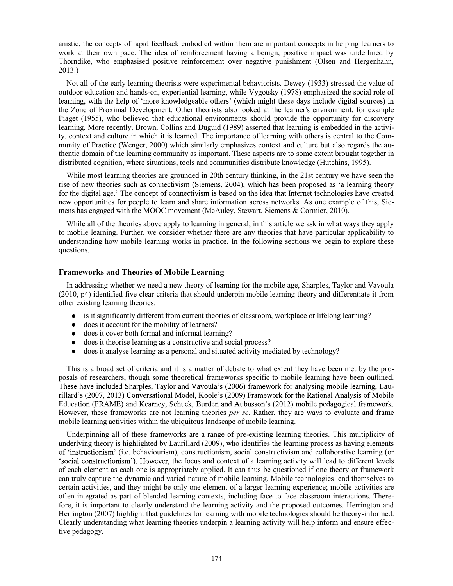anistic, the concepts of rapid feedback embodied within them are important concepts in helping learners to work at their own pace. The idea of reinforcement having a benign, positive impact was underlined by Thorndike, who emphasised positive reinforcement over negative punishment (Olsen and Hergenhahn, 2013.)

Not all of the early learning theorists were experimental behaviorists. Dewey (1933) stressed the value of outdoor education and hands-on, experiential learning, while Vygotsky (1978) emphasized the social role of learning, with the help of 'more knowledgeable others' (which might these days include digital sources) in the Zone of Proximal Development. Other theorists also looked at the learner's environment, for example Piaget (1955), who believed that educational environments should provide the opportunity for discovery learning. More recently, Brown, Collins and Duguid (1989) asserted that learning is embedded in the activity, context and culture in which it is learned. The importance of learning with others is central to the Community of Practice (Wenger, 2000) which similarly emphasizes context and culture but also regards the authentic domain of the learning community as important. These aspects are to some extent brought together in distributed cognition, where situations, tools and communities distribute knowledge (Hutchins, 1995).

While most learning theories are grounded in 20th century thinking, in the 21st century we have seen the rise of new theories such as connectivism (Siemens, 2004), which has been proposed as 'a learning theory for the digital age.' The concept of connectivism is based on the idea that Internet technologies have created new opportunities for people to learn and share information across networks. As one example of this, Siemens has engaged with the MOOC movement (McAuley, Stewart, Siemens & Cormier, 2010).

While all of the theories above apply to learning in general, in this article we ask in what ways they apply to mobile learning. Further, we consider whether there are any theories that have particular applicability to understanding how mobile learning works in practice. In the following sections we begin to explore these questions.

#### Frameworks and Theories of Mobile Learning

In addressing whether we need a new theory of learning for the mobile age, Sharples, Taylor and Vavoula (2010, p4) identified five clear criteria that should underpin mobile learning theory and differentiate it from other existing learning theories:

- is it significantly different from current theories of classroom, workplace or lifelong learning?
- does it account for the mobility of learners?
- does it cover both formal and informal learning?
- does it theorise learning as a constructive and social process?  $\bullet$
- $\bullet$ does it analyse learning as a personal and situated activity mediated by technology?

This is a broad set of criteria and it is a matter of debate to what extent they have been met by the proposals of researchers, though some theoretical frameworks specific to mobile learning have been outlined. These have included Sharples, Taylor and Vavoula's (2006) framework for analysing mobile learning, Laurillard's (2007, 2013) Conversational Model, Koole's (2009) Framework for the Rational Analysis of Mobile Education (FRAME) and Kearney, Schuck, Burden and Aubusson's (2012) mobile pedagogical framework. However, these frameworks are not learning theories *per se*. Rather, they are ways to evaluate and frame mobile learning activities within the ubiquitous landscape of mobile learning.

Underpinning all of these frameworks are a range of pre-existing learning theories. This multiplicity of underlying theory is highlighted by Laurillard (2009), who identifies the learning process as having elements of 'instructionism' (i.e. behaviourism), constructionism, social constructivism and collaborative learning (or social constructionism'). However, the focus and context of a learning activity will lead to different levels of each element as each one is appropriately applied. It can thus be questioned if one theory or framework can truly capture the dynamic and varied nature of mobile learning. Mobile technologies lend themselves to certain activities, and they might be only one element of a larger learning experience; mobile activities are often integrated as part of blended learning contexts, including face to face classroom interactions. Therefore, it is important to clearly understand the learning activity and the proposed outcomes. Herrington and Herrington (2007) highlight that guidelines for learning with mobile technologies should be theory-informed. Clearly understanding what learning theories underpin a learning activity will help inform and ensure effective pedagogy.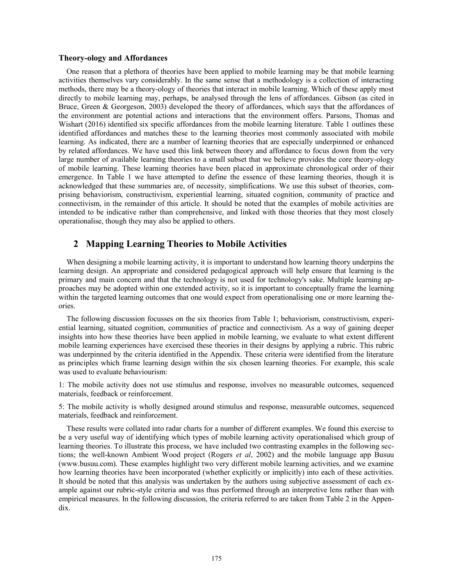#### Theory-ology and Affordances

One reason that a plethora of theories have been applied to mobile learning may be that mobile learning activities themselves vary considerably. In the same sense that a methodology is a collection of interacting methods, there may be a theory-ology of theories that interact in mobile learning. Which of these apply most directly to mobile learning may, perhaps, be analysed through the lens of affordances. Gibson (as cited in Bruce, Green & Georgeson, 2003) developed the theory of affordances, which says that the affordances of the environment are potential actions and interactions that the environment offers. Parsons, Thomas and Wishart (2016) identified six specific affordances from the mobile learning literature. Table 1 outlines these identified affordances and matches these to the learning theories most commonly associated with mobile learning. As indicated, there are a number of learning theories that are especially underpinned or enhanced by related affordances. We have used this link between theory and affordance to focus down from the very large number of available learning theories to a small subset that we believe provides the core theory-ology of mobile learning. These learning theories have been placed in approximate chronological order of their emergence. In Table 1 we have attempted to define the essence of these learning theories, though it is acknowledged that these summaries are, of necessity, simplifications. We use this subset of theories, comprising behaviorism, constructivism, experiential learning, situated cognition, community of practice and connectivism, in the remainder of this article. It should be noted that the examples of mobile activities are intended to be indicative rather than comprehensive, and linked with those theories that they most closely operationalise, though they may also be applied to others.

## 2 Mapping Learning Theories to Mobile Activities

When designing a mobile learning activity, it is important to understand how learning theory underpins the learning design. An appropriate and considered pedagogical approach will help ensure that learning is the primary and main concern and that the technology is not used for technology's sake. Multiple learning approaches may be adopted within one extended activity, so it is important to conceptually frame the learning within the targeted learning outcomes that one would expect from operationalising one or more learning theories.

The following discussion focusses on the six theories from Table 1; behaviorism, constructivism, experiential learning, situated cognition, communities of practice and connectivism. As a way of gaining deeper insights into how these theories have been applied in mobile learning, we evaluate to what extent different mobile learning experiences have exercised these theories in their designs by applying a rubric. This rubric was underpinned by the criteria identified in the Appendix. These criteria were identified from the literature as principles which frame learning design within the six chosen learning theories. For example, this scale was used to evaluate behaviourism:

1: The mobile activity does not use stimulus and response, involves no measurable outcomes, sequenced materials, feedback or reinforcement.

5: The mobile activity is wholly designed around stimulus and response, measurable outcomes, sequenced materials, feedback and reinforcement.

These results were collated into radar charts for a number of different examples. We found this exercise to be a very useful way of identifying which types of mobile learning activity operationalised which group of learning theories. To illustrate this process, we have included two contrasting examples in the following sections; the well-known Ambient Wood project (Rogers *et al*, 2002) and the mobile language app Busuu (www.busuu.com). These examples highlight two very different mobile learning activities, and we examine how learning theories have been incorporated (whether explicitly or implicitly) into each of these activities. It should be noted that this analysis was undertaken by the authors using subjective assessment of each example against our rubric-style criteria and was thus performed through an interpretive lens rather than with empirical measures. In the following discussion, the criteria referred to are taken from Table 2 in the Appendix.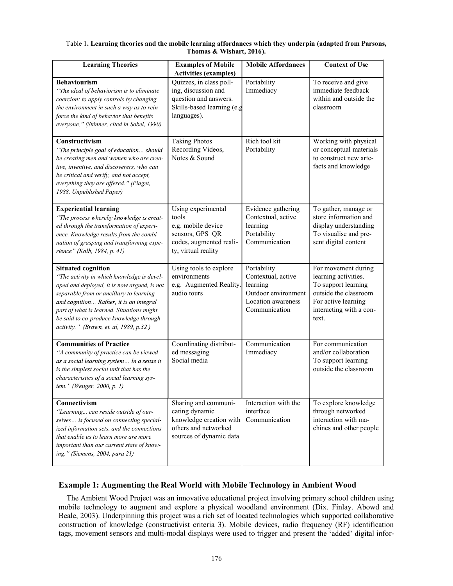#### Table 1. Learning theories and the mobile learning affordances which they underpin (adapted from Parsons, Thomas & Wishart, 2016).

| <b>Learning Theories</b>                                                                                                                                                                                                                                                                                                                       | <b>Examples of Mobile</b><br><b>Activities (examples)</b>                                                              | <b>Mobile Affordances</b>                                                                                   | <b>Context of Use</b>                                                                                                                                  |
|------------------------------------------------------------------------------------------------------------------------------------------------------------------------------------------------------------------------------------------------------------------------------------------------------------------------------------------------|------------------------------------------------------------------------------------------------------------------------|-------------------------------------------------------------------------------------------------------------|--------------------------------------------------------------------------------------------------------------------------------------------------------|
| <b>Behaviourism</b><br>"The ideal of behaviorism is to eliminate<br>coercion: to apply controls by changing<br>the environment in such a way as to rein-<br>force the kind of behavior that benefits<br>everyone." (Skinner, cited in Sobel, 1990)                                                                                             | Quizzes, in class poll-<br>ing, discussion and<br>question and answers.<br>Skills-based learning (e.g<br>languages).   | Portability<br>Immediacy                                                                                    | To receive and give<br>immediate feedback<br>within and outside the<br>classroom                                                                       |
| Constructivism<br>"The principle goal of education should<br>be creating men and women who are crea-<br>tive, inventive, and discoverers, who can<br>be critical and verify, and not accept,<br>everything they are offered." (Piaget,<br>1988, Unpublished Paper)                                                                             | <b>Taking Photos</b><br>Recording Videos,<br>Notes & Sound                                                             | Rich tool kit<br>Portability                                                                                | Working with physical<br>or conceptual materials<br>to construct new arte-<br>facts and knowledge                                                      |
| <b>Experiential learning</b><br>"The process whereby knowledge is creat-<br>ed through the transformation of experi-<br>ence. Knowledge results from the combi-<br>nation of grasping and transforming expe-<br>rience" (Kolb, 1984, p. 41)                                                                                                    | Using experimental<br>tools<br>e.g. mobile device<br>sensors, GPS QR<br>codes, augmented reali-<br>ty, virtual reality | Evidence gathering<br>Contextual, active<br>learning<br>Portability<br>Communication                        | To gather, manage or<br>store information and<br>display understanding<br>To visualise and pre-<br>sent digital content                                |
| <b>Situated cognition</b><br>"The activity in which knowledge is devel-<br>oped and deployed, it is now argued, is not<br>separable from or ancillary to learning<br>and cognition Rather, it is an integral<br>part of what is learned. Situations might<br>be said to co-produce knowledge through<br>activity." (Brown, et. al, 1989, p.32) | Using tools to explore<br>environments<br>e.g. Augmented Reality.<br>audio tours                                       | Portability<br>Contextual, active<br>learning<br>Outdoor environment<br>Location awareness<br>Communication | For movement during<br>learning activities.<br>To support learning<br>outside the classroom<br>For active learning<br>interacting with a con-<br>text. |
| <b>Communities of Practice</b><br>"A community of practice can be viewed<br>as a social learning system In a sense it<br>is the simplest social unit that has the<br>characteristics of a social learning sys-<br>tem." (Wenger, 2000, p. 1)                                                                                                   | Coordinating distribut-<br>ed messaging<br>Social media                                                                | Communication<br>Immediacy                                                                                  | For communication<br>and/or collaboration<br>To support learning<br>outside the classroom                                                              |
| Connectivism<br>"Learning can reside outside of our-<br>selves is focused on connecting special-<br>ized information sets, and the connections<br>that enable us to learn more are more<br>important than our current state of know-<br>ing." (Siemens, 2004, para 21)                                                                         | Sharing and communi-<br>cating dynamic<br>knowledge creation with<br>others and networked<br>sources of dynamic data   | Interaction with the<br>interface<br>Communication                                                          | To explore knowledge<br>through networked<br>interaction with ma-<br>chines and other people                                                           |

## Example 1: Augmenting the Real World with Mobile Technology in Ambient Wood

The Ambient Wood Project was an innovative educational project involving primary school children using mobile technology to augment and explore a physical woodland environment (Dix. Finlay. Abowd and Beale, 2003). Underpinning this project was a rich set of located technologies which supported collaborative construction of knowledge (constructivist criteria 3). Mobile devices, radio frequency (RF) identification tags, movement sensors and multi-modal displays were used to trigger and present the 'added' digital infor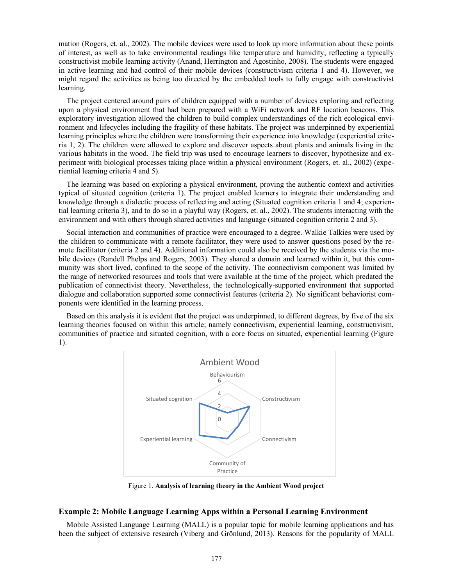mation (Rogers, et. al., 2002). The mobile devices were used to look up more information about these points of interest, as well as to take environmental readings like temperature and humidity, reflecting a typically constructivist mobile learning activity (Anand, Herrington and Agostinho, 2008). The students were engaged in active learning and had control of their mobile devices (constructivism criteria 1 and 4). However, we might regard the activities as being too directed by the embedded tools to fully engage with constructivist learning.

The project centered around pairs of children equipped with a number of devices exploring and reflecting upon a physical environment that had been prepared with a WiFi network and RF location beacons. This exploratory investigation allowed the children to build complex understandings of the rich ecological environment and lifecycles including the fragility of these habitats. The project was underpinned by experiential learning principles where the children were transforming their experience into knowledge (experiential criteria 1, 2). The children were allowed to explore and discover aspects about plants and animals living in the various habitats in the wood. The field trip was used to encourage learners to discover, hypothesize and experiment with biological processes taking place within a physical environment (Rogers, et. al., 2002) (experiential learning criteria 4 and 5).

The learning was based on exploring a physical environment, proving the authentic context and activities typical of situated cognition (criteria 1). The project enabled learners to integrate their understanding and knowledge through a dialectic process of reflecting and acting (Situated cognition criteria 1 and 4; experiential learning criteria 3), and to do so in a playful way (Rogers, et. al., 2002). The students interacting with the environment and with others through shared activities and language (situated cognition criteria 2 and 3).

Social interaction and communities of practice were encouraged to a degree. Walkie Talkies were used by the children to communicate with a remote facilitator, they were used to answer questions posed by the remote facilitator (criteria 2 and 4). Additional information could also be received by the students via the mobile devices (Randell Phelps and Rogers, 2003). They shared a domain and learned within it, but this community was short lived, confined to the scope of the activity. The connectivism component was limited by the range of networked resources and tools that were available at the time of the project, which predated the publication of connectivist theory. Nevertheless, the technologically-supported environment that supported dialogue and collaboration supported some connectivist features (criteria 2). No significant behaviorist components were identified in the learning process.

Based on this analysis it is evident that the project was underpinned, to different degrees, by five of the six learning theories focused on within this article; namely connectivism, experiential learning, constructivism, communities of practice and situated cognition, with a core focus on situated, experiential learning (Figure 1).



Figure 1. Analysis of learning theory in the Ambient Wood project

#### Example 2: Mobile Language Learning Apps within a Personal Learning Environment

Mobile Assisted Language Learning (MALL) is a popular topic for mobile learning applications and has been the subject of extensive research (Viberg and Grönlund, 2013). Reasons for the popularity of MALL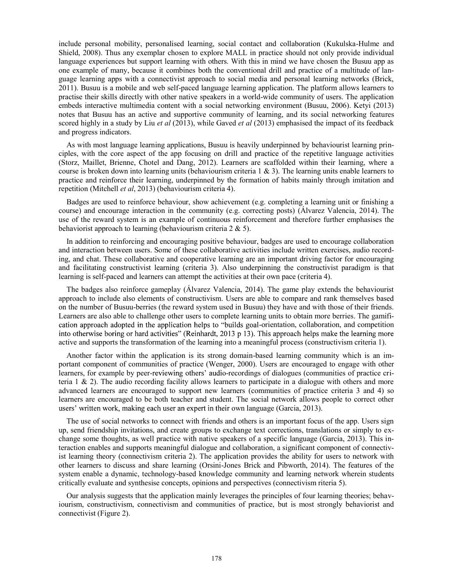include personal mobility, personalised learning, social contact and collaboration (Kukulska-Hulme and Shield, 2008). Thus any exemplar chosen to explore MALL in practice should not only provide individual language experiences but support learning with others. With this in mind we have chosen the Busuu app as one example of many, because it combines both the conventional drill and practice of a multitude of language learning apps with a connectivist approach to social media and personal learning networks (Brick, 2011). Busuu is a mobile and web self-paced language learning application. The platform allows learners to practise their skills directly with other native speakers in a world-wide community of users. The application embeds interactive multimedia content with a social networking environment (Busuu, 2006). Ketyi (2013) notes that Busuu has an active and supportive community of learning, and its social networking features scored highly in a study by Liu *et al* (2013), while Gaved *et al* (2013) emphasised the impact of its feedback and progress indicators.

As with most language learning applications, Busuu is heavily underpinned by behaviourist learning principles, with the core aspect of the app focusing on drill and practice of the repetitive language activities (Storz, Maillet, Brienne, Chotel and Dang, 2012). Learners are scaffolded within their learning, where a course is broken down into learning units (behaviourism criteria  $1 \& 3$ ). The learning units enable learners to practice and reinforce their learning, underpinned by the formation of habits mainly through imitation and repetition (Mitchell et al, 2013) (behaviourism criteria 4).

Badges are used to reinforce behaviour, show achievement (e.g. completing a learning unit or finishing a course) and encourage interaction in the community (e.g. correcting posts) (Álvarez Valencia, 2014). The use of the reward system is an example of continuous reinforcement and therefore further emphasises the behaviorist approach to learning (behaviourism criteria 2 & 5).

In addition to reinforcing and encouraging positive behaviour, badges are used to encourage collaboration and interaction between users. Some of these collaborative activities include written exercises, audio recording, and chat. These collaborative and cooperative learning are an important driving factor for encouraging and facilitating constructivist learning (criteria 3). Also underpinning the constructivist paradigm is that learning is self-paced and learners can attempt the activities at their own pace (criteria 4).

The badges also reinforce gameplay (Álvarez Valencia, 2014). The game play extends the behaviourist approach to include also elements of constructivism. Users are able to compare and rank themselves based on the number of Busuu-berries (the reward system used in Busuu) they have and with those of their friends. Learners are also able to challenge other users to complete learning units to obtain more berries. The gamifi cation approach adopted in the application helps to "builds goal-orientation, collaboration, and competition into otherwise boring or hard activities" (Reinhardt, 2013 p 13). This approach helps make the learning more active and supports the transformation of the learning into a meaningful process (constructivism criteria 1).

Another factor within the application is its strong domain-based learning community which is an important component of communities of practice (Wenger, 2000). Users are encouraged to engage with other learners, for example by peer-reviewing others' audio-recordings of dialogues (communities of practice criteria 1 & 2). The audio recording facility allows learners to participate in a dialogue with others and more advanced learners are encouraged to support new learners (communities of practice criteria 3 and 4) so learners are encouraged to be both teacher and student. The social network allows people to correct other users' written work, making each user an expert in their own language (Garcia, 2013).

The use of social networks to connect with friends and others is an important focus of the app. Users sign up, send friendship invitations, and create groups to exchange text corrections, translations or simply to exchange some thoughts, as well practice with native speakers of a specific language (Garcia, 2013). This interaction enables and supports meaningful dialogue and collaboration, a significant component of connectivist learning theory (connectivism criteria 2). The application provides the ability for users to network with other learners to discuss and share learning (Orsini-Jones Brick and Pibworth, 2014). The features of the system enable a dynamic, technology-based knowledge community and learning network wherein students critically evaluate and synthesise concepts, opinions and perspectives (connectivism riteria 5).

Our analysis suggests that the application mainly leverages the principles of four learning theories; behaviourism, constructivism, connectivism and communities of practice, but is most strongly behaviorist and connectivist (Figure 2).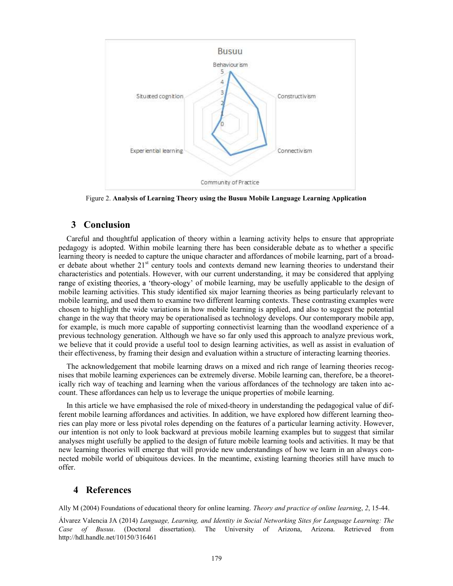

Figure 2. Analysis of Learning Theory using the Busuu Mobile Language Learning Application

#### 3 Conclusion

Careful and thoughtful application of theory within a learning activity helps to ensure that appropriate pedagogy is adopted. Within mobile learning there has been considerable debate as to whether a specific learning theory is needed to capture the unique character and affordances of mobile learning, part of a broader debate about whether 21<sup>st</sup> century tools and contexts demand new learning theories to understand their characteristics and potentials. However, with our current understanding, it may be considered that applying range of existing theories, a 'theory-ology' of mobile learning, may be usefully applicable to the design of mobile learning activities. This study identified six major learning theories as being particularly relevant to mobile learning, and used them to examine two different learning contexts. These contrasting examples were chosen to highlight the wide variations in how mobile learning is applied, and also to suggest the potential change in the way that theory may be operationalised as technology develops. Our contemporary mobile app, for example, is much more capable of supporting connectivist learning than the woodland experience of a previous technology generation. Although we have so far only used this approach to analyze previous work, we believe that it could provide a useful tool to design learning activities, as well as assist in evaluation of their effectiveness, by framing their design and evaluation within a structure of interacting learning theories.

The acknowledgement that mobile learning draws on a mixed and rich range of learning theories recognises that mobile learning experiences can be extremely diverse. Mobile learning can, therefore, be a theoretically rich way of teaching and learning when the various affordances of the technology are taken into account. These affordances can help us to leverage the unique properties of mobile learning.

In this article we have emphasised the role of mixed-theory in understanding the pedagogical value of different mobile learning affordances and activities. In addition, we have explored how different learning theories can play more or less pivotal roles depending on the features of a particular learning activity. However, our intention is not only to look backward at previous mobile learning examples but to suggest that similar analyses might usefully be applied to the design of future mobile learning tools and activities. It may be that new learning theories will emerge that will provide new understandings of how we learn in an always connected mobile world of ubiquitous devices. In the meantime, existing learning theories still have much to offer.

# 4 References

Ally M (2004) Foundations of educational theory for online learning. Theory and practice of online learning, 2, 15-44.

Álvarez Valencia JA (2014) Language, Learning, and Identity in Social Networking Sites for Language Learning: The Case of Busuu. (Doctoral dissertation). The University of Arizona, Arizona. Retrieved from http://hdl.handle.net/10150/316461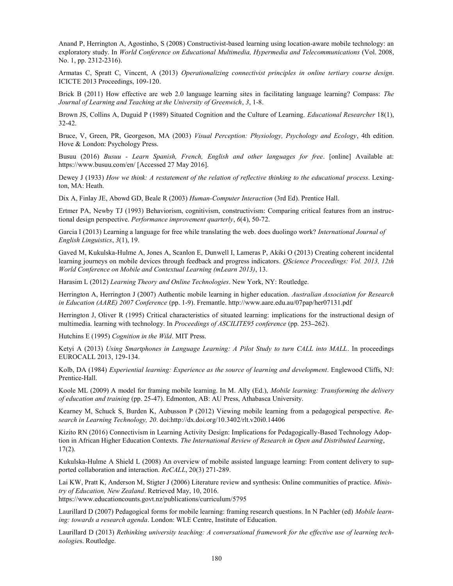Anand P, Herrington A, Agostinho, S (2008) Constructivist-based learning using location-aware mobile technology: an exploratory study. In World Conference on Educational Multimedia, Hypermedia and Telecommunications (Vol. 2008, No. 1, pp. 2312-2316).

Armatas C, Spratt C, Vincent, A (2013) Operationalizing connectivist principles in online tertiary course design. ICICTE 2013 Proceedings, 109-120.

Brick B (2011) How effective are web 2.0 language learning sites in facilitating language learning? Compass: The Journal of Learning and Teaching at the University of Greenwich, 3, 1-8.

Brown JS, Collins A, Duguid P (1989) Situated Cognition and the Culture of Learning. *Educational Researcher* 18(1), 32-42.

Bruce, V, Green, PR, Georgeson, MA (2003) Visual Perception: Physiology, Psychology and Ecology, 4th edition. Hove & London: Psychology Press.

Busuu (2016) Busuu - Learn Spanish, French, English and other languages for free. [online] Available at: https://www.busuu.com/en/ [Accessed 27 May 2016].

Dewey J (1933) How we think: A restatement of the relation of reflective thinking to the educational process. Lexington, MA: Heath.

Dix A, Finlay JE, Abowd GD, Beale R (2003) Human-Computer Interaction (3rd Ed). Prentice Hall.

Ertmer PA, Newby TJ (1993) Behaviorism, cognitivism, constructivism: Comparing critical features from an instructional design perspective. Performance improvement quarterly, 6(4), 50-72.

Garcia I (2013) Learning a language for free while translating the web. does duolingo work? International Journal of English Linguistics, 3(1), 19.

Gaved M, Kukulska-Hulme A, Jones A, Scanlon E, Dunwell I, Lameras P, Akiki O (2013) Creating coherent incidental learning journeys on mobile devices through feedback and progress indicators. QScience Proceedings: Vol. 2013, 12th World Conference on Mobile and Contextual Learning (mLearn 2013), 13.

Harasim L (2012) Learning Theory and Online Technologies. New York, NY: Routledge.

Herrington A, Herrington J (2007) Authentic mobile learning in higher education. Australian Association for Research in Education (AARE) 2007 Conference (pp. 1-9). Fremantle. http://www.aare.edu.au/07pap/her07131.pdf

Herrington J, Oliver R (1995) Critical characteristics of situated learning: implications for the instructional design of multimedia. learning with technology. In *Proceedings of ASCILITE95 conference* (pp. 253–262).

Hutchins E (1995) Cognition in the Wild. MIT Press.

Ketyi A (2013) Using Smartphones in Language Learning: A Pilot Study to turn CALL into MALL. In proceedings EUROCALL 2013, 129-134.

Kolb, DA (1984) Experiential learning: Experience as the source of learning and development. Englewood Cliffs, NJ: Prentice-Hall.

Koole ML (2009) A model for framing mobile learning. In M. Ally (Ed.), Mobile learning: Transforming the delivery of education and training (pp. 25-47). Edmonton, AB: AU Press, Athabasca University.

Kearney M, Schuck S, Burden K, Aubusson P (2012) Viewing mobile learning from a pedagogical perspective. Research in Learning Technology, 20. doi:http://dx.doi.org/10.3402/rlt.v20i0.14406

Kizito RN (2016) Connectivism in Learning Activity Design: Implications for Pedagogically-Based Technology Adoption in African Higher Education Contexts. The International Review of Research in Open and Distributed Learning, 17(2).

Kukulska-Hulme A Shield L (2008) An overview of mobile assisted language learning: From content delivery to supported collaboration and interaction. ReCALL, 20(3) 271-289.

Lai KW, Pratt K, Anderson M, Stigter J (2006) Literature review and synthesis: Online communities of practice. Ministry of Education, New Zealand. Retrieved May, 10, 2016.

https://www.educationcounts.govt.nz/publications/curriculum/5795

Laurillard D (2007) Pedagogical forms for mobile learning: framing research questions. In N Pachler (ed) Mobile learning: towards a research agenda. London: WLE Centre, Institute of Education.

Laurillard D (2013) Rethinking university teaching: A conversational framework for the effective use of learning technologies. Routledge.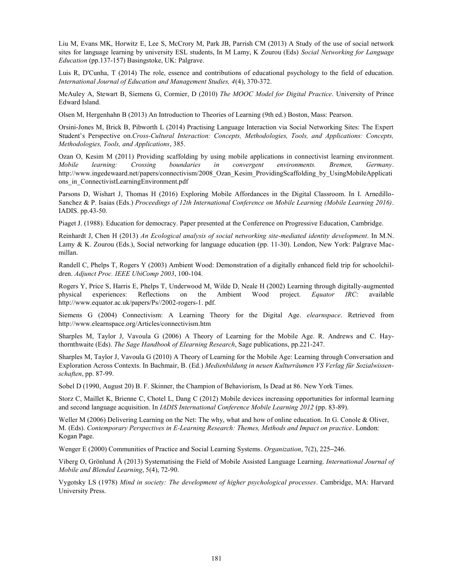Liu M, Evans MK, Horwitz E, Lee S, McCrory M, Park JB, Parrish CM (2013) A Study of the use of social network sites for language learning by university ESL students, In M Lamy, K Zourou (Eds) Social Networking for Language Education (pp.137-157) Basingstoke, UK: Palgrave.

Luis R, D'Cunha, T (2014) The role, essence and contributions of educational psychology to the field of education. International Journal of Education and Management Studies, 4(4), 370-372.

McAuley A, Stewart B, Siemens G, Cormier, D (2010) The MOOC Model for Digital Practice. University of Prince Edward Island.

Olsen M, Hergenhahn B (2013) An Introduction to Theories of Learning (9th ed.) Boston, Mass: Pearson.

Orsini-Jones M, Brick B, Pibworth L (2014) Practising Language Interaction via Social Networking Sites: The Expert Student's Perspective on.Cross-Cultural Interaction: Concepts, Methodologies, Tools, and Applications: Concepts, Methodologies, Tools, and Applications, 385.

Ozan O, Kesim M (2011) Providing scaffolding by using mobile applications in connectivist learning environment. Mobile learning: Crossing boundaries in convergent environments. Bremen, Germany.<br>http://www.ingedewaard.net/papers/connectivism/2008\_Ozan\_Kesim\_ProvidingScaffolding\_by\_UsingMobileApplicati ons in ConnectivistLearningEnvironment.pdf

Parsons D, Wishart J, Thomas H (2016) Exploring Mobile Affordances in the Digital Classroom. In I. Arnedillo-Sanchez & P. Isaias (Eds.) *Proceedings of 12th International Conference on Mobile Learning (Mobile Learning 2016)*.<br>IADIS. pp.43-50.

Piaget J. (1988). Education for democracy. Paper presented at the Conference on Progressive Education, Cambridge.

Reinhardt J, Chen H (2013) An Ecological analysis of social networking site-mediated identity development. In M.N. Lamy & K. Zourou (Eds.), Social networking for language education (pp. 11-30). London, New York: Palgrave Macmillan.

Randell C, Phelps T, Rogers Y (2003) Ambient Wood: Demonstration of a digitally enhanced field trip for schoolchildren. Adjunct Proc. IEEE UbiComp 2003, 100-104.

Rogers Y, Price S, Harris E, Phelps T, Underwood M, Wilde D, Neale H (2002) Learning through digitally-augmented physical experiences: Reflections on the Ambient Wood project. Equator IRC: available http://www.equator.ac.uk/papers/Ps//2002-rogers-1. pdf.

Siemens G (2004) Connectivism: A Learning Theory for the Digital Age. *elearnspace*. Retrieved from http://www.elearnspace.org/Articles/connectivism.htm

Sharples M, Taylor J, Vavoula G (2006) A Theory of Learning for the Mobile Age. R. Andrews and C. Haythornthwaite (Eds). The Sage Handbook of Elearning Research, Sage publications, pp.221-247.

Sharples M, Taylor J, Vavoula G (2010) A Theory of Learning for the Mobile Age: Learning through Conversation and Exploration Across Contexts. In Bachmair, B. (Ed.) Medienbildung in neuen Kulturräumen VS Verlag für Sozialwissenschaften, pp. 87-99.

Sobel D (1990, August 20) B. F. Skinner, the Champion of Behaviorism, Is Dead at 86. New York Times.

Storz C, Maillet K, Brienne C, Chotel L, Dang C (2012) Mobile devices increasing opportunities for informal learning and second language acquisition. In *IADIS International Conference Mobile Learning 2012* (pp. 83-89).

Weller M (2006) Delivering Learning on the Net: The why, what and how of online education. In G. Conole & Oliver, M. (Eds). Contemporary Perspectives in E-Learning Research: Themes, Methods and Impact on practice. London: Kogan Page.

Wenger E (2000) Communities of Practice and Social Learning Systems. Organization, 7(2), 225–246.

Viberg O, Grönlund Å (2013) Systematising the Field of Mobile Assisted Language Learning. International Journal of Mobile and Blended Learning, 5(4), 72-90.

Vygotsky LS (1978) Mind in society: The development of higher psychological processes. Cambridge, MA: Harvard University Press.